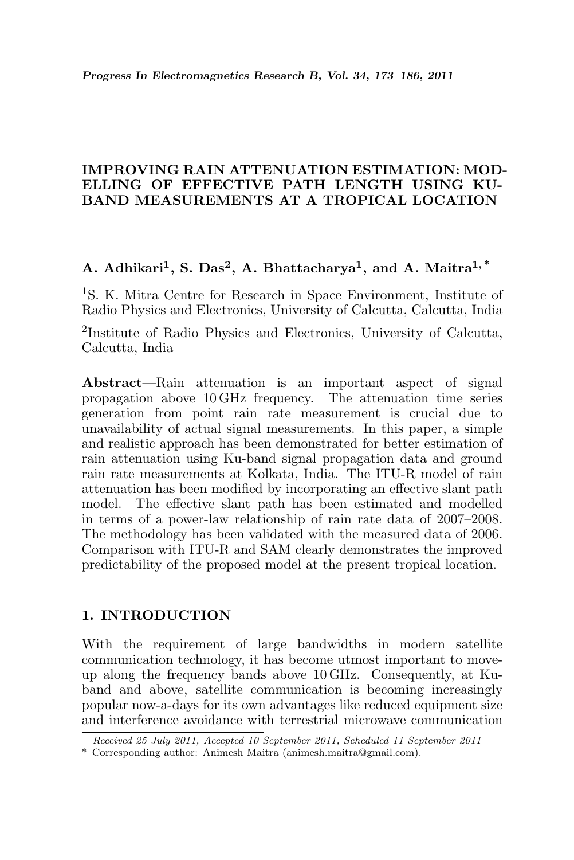### IMPROVING RAIN ATTENUATION ESTIMATION: MOD-ELLING OF EFFECTIVE PATH LENGTH USING KU-BAND MEASUREMENTS AT A TROPICAL LOCATION

# A. Adhikari<sup>1</sup>, S. Das<sup>2</sup>, A. Bhattacharya<sup>1</sup>, and A. Maitra<sup>1,\*</sup>

<sup>1</sup>S. K. Mitra Centre for Research in Space Environment, Institute of Radio Physics and Electronics, University of Calcutta, Calcutta, India

2 Institute of Radio Physics and Electronics, University of Calcutta, Calcutta, India

Abstract—Rain attenuation is an important aspect of signal propagation above 10 GHz frequency. The attenuation time series generation from point rain rate measurement is crucial due to unavailability of actual signal measurements. In this paper, a simple and realistic approach has been demonstrated for better estimation of rain attenuation using Ku-band signal propagation data and ground rain rate measurements at Kolkata, India. The ITU-R model of rain attenuation has been modified by incorporating an effective slant path model. The effective slant path has been estimated and modelled in terms of a power-law relationship of rain rate data of 2007–2008. The methodology has been validated with the measured data of 2006. Comparison with ITU-R and SAM clearly demonstrates the improved predictability of the proposed model at the present tropical location.

### 1. INTRODUCTION

With the requirement of large bandwidths in modern satellite communication technology, it has become utmost important to moveup along the frequency bands above 10 GHz. Consequently, at Kuband and above, satellite communication is becoming increasingly popular now-a-days for its own advantages like reduced equipment size and interference avoidance with terrestrial microwave communication

Received 25 July 2011, Accepted 10 September 2011, Scheduled 11 September 2011

<sup>\*</sup> Corresponding author: Animesh Maitra (animesh.maitra@gmail.com).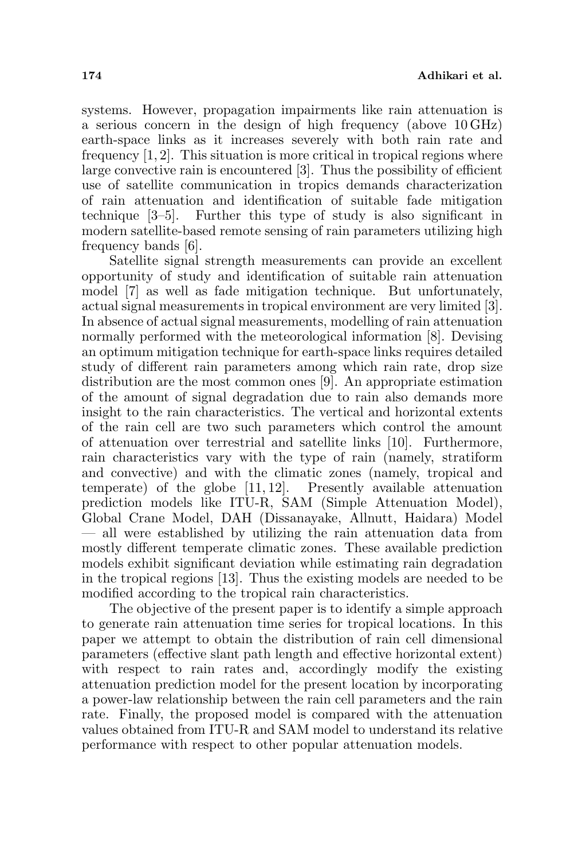systems. However, propagation impairments like rain attenuation is a serious concern in the design of high frequency (above 10 GHz) earth-space links as it increases severely with both rain rate and frequency  $[1, 2]$ . This situation is more critical in tropical regions where large convective rain is encountered [3]. Thus the possibility of efficient use of satellite communication in tropics demands characterization of rain attenuation and identification of suitable fade mitigation technique [3–5]. Further this type of study is also significant in modern satellite-based remote sensing of rain parameters utilizing high frequency bands [6].

Satellite signal strength measurements can provide an excellent opportunity of study and identification of suitable rain attenuation model [7] as well as fade mitigation technique. But unfortunately, actual signal measurements in tropical environment are very limited [3]. In absence of actual signal measurements, modelling of rain attenuation normally performed with the meteorological information [8]. Devising an optimum mitigation technique for earth-space links requires detailed study of different rain parameters among which rain rate, drop size distribution are the most common ones [9]. An appropriate estimation of the amount of signal degradation due to rain also demands more insight to the rain characteristics. The vertical and horizontal extents of the rain cell are two such parameters which control the amount of attenuation over terrestrial and satellite links [10]. Furthermore, rain characteristics vary with the type of rain (namely, stratiform and convective) and with the climatic zones (namely, tropical and temperate) of the globe [11, 12]. Presently available attenuation prediction models like ITU-R, SAM (Simple Attenuation Model), Global Crane Model, DAH (Dissanayake, Allnutt, Haidara) Model — all were established by utilizing the rain attenuation data from mostly different temperate climatic zones. These available prediction models exhibit significant deviation while estimating rain degradation in the tropical regions [13]. Thus the existing models are needed to be modified according to the tropical rain characteristics.

The objective of the present paper is to identify a simple approach to generate rain attenuation time series for tropical locations. In this paper we attempt to obtain the distribution of rain cell dimensional parameters (effective slant path length and effective horizontal extent) with respect to rain rates and, accordingly modify the existing attenuation prediction model for the present location by incorporating a power-law relationship between the rain cell parameters and the rain rate. Finally, the proposed model is compared with the attenuation values obtained from ITU-R and SAM model to understand its relative performance with respect to other popular attenuation models.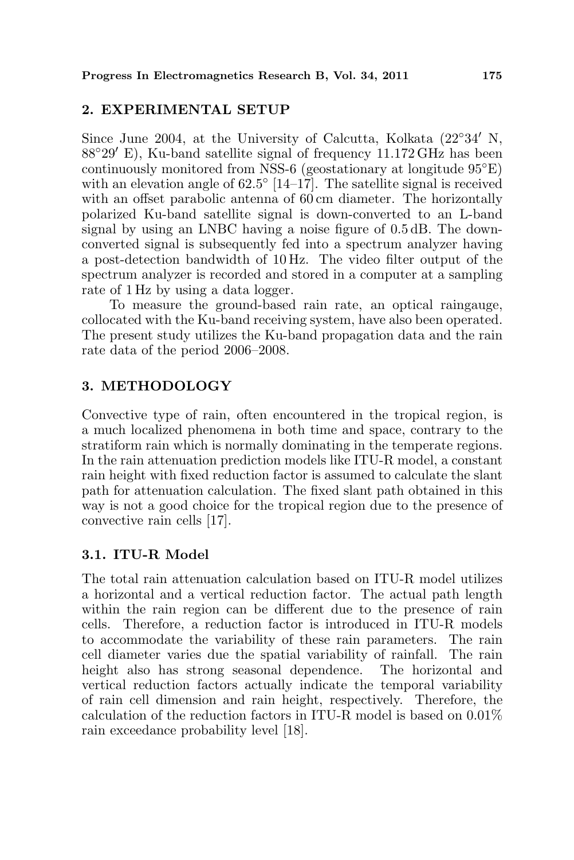## 2. EXPERIMENTAL SETUP

Since June 2004, at the University of Calcutta, Kolkata  $(22°34' N,$  $88°29'$  E), Ku-band satellite signal of frequency  $11.172$  GHz has been continuously monitored from NSS-6 (geostationary at longitude 95◦E) with an elevation angle of  $62.5^{\circ}$  [14–17]. The satellite signal is received with an offset parabolic antenna of 60 cm diameter. The horizontally polarized Ku-band satellite signal is down-converted to an L-band signal by using an LNBC having a noise figure of 0.5 dB. The downconverted signal is subsequently fed into a spectrum analyzer having a post-detection bandwidth of 10 Hz. The video filter output of the spectrum analyzer is recorded and stored in a computer at a sampling rate of 1 Hz by using a data logger.

To measure the ground-based rain rate, an optical raingauge, collocated with the Ku-band receiving system, have also been operated. The present study utilizes the Ku-band propagation data and the rain rate data of the period 2006–2008.

# 3. METHODOLOGY

Convective type of rain, often encountered in the tropical region, is a much localized phenomena in both time and space, contrary to the stratiform rain which is normally dominating in the temperate regions. In the rain attenuation prediction models like ITU-R model, a constant rain height with fixed reduction factor is assumed to calculate the slant path for attenuation calculation. The fixed slant path obtained in this way is not a good choice for the tropical region due to the presence of convective rain cells [17].

# 3.1. ITU-R Model

The total rain attenuation calculation based on ITU-R model utilizes a horizontal and a vertical reduction factor. The actual path length within the rain region can be different due to the presence of rain cells. Therefore, a reduction factor is introduced in ITU-R models to accommodate the variability of these rain parameters. The rain cell diameter varies due the spatial variability of rainfall. The rain height also has strong seasonal dependence. The horizontal and vertical reduction factors actually indicate the temporal variability of rain cell dimension and rain height, respectively. Therefore, the calculation of the reduction factors in ITU-R model is based on 0.01% rain exceedance probability level [18].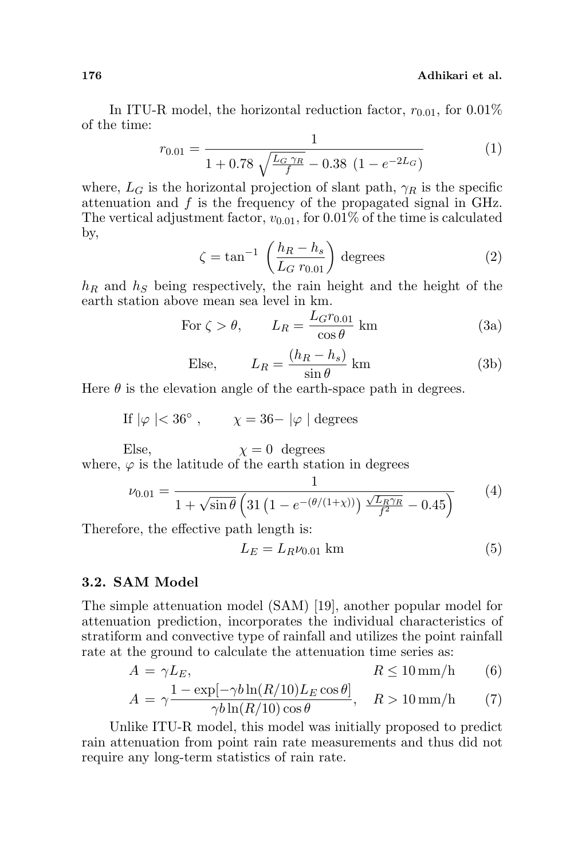In ITU-R model, the horizontal reduction factor,  $r_{0.01}$ , for 0.01% of the time:

$$
r_{0.01} = \frac{1}{1 + 0.78\sqrt{\frac{L_G\gamma_R}{f} - 0.38\ (1 - e^{-2L_G})}}
$$
(1)

where,  $L_G$  is the horizontal projection of slant path,  $\gamma_R$  is the specific attenuation and f is the frequency of the propagated signal in GHz. The vertical adjustment factor,  $v_{0.01}$ , for 0.01% of the time is calculated by,  $\overline{a}$ 

$$
\zeta = \tan^{-1} \left( \frac{h_R - h_s}{L_G \ r_{0.01}} \right) \text{ degrees} \tag{2}
$$

 $h_R$  and  $h_S$  being respectively, the rain height and the height of the earth station above mean sea level in km.

For 
$$
\zeta > \theta
$$
,  $L_R = \frac{L_{G} r_{0.01}}{\cos \theta}$  km (3a)

Else, 
$$
L_R = \frac{(h_R - h_s)}{\sin \theta} \text{ km}
$$
 (3b)

Here  $\theta$  is the elevation angle of the earth-space path in degrees.

If  $|\varphi| < 36^\circ$ ,  $\chi = 36 - |\varphi|$  degrees

Else,  $\chi = 0$  degrees where,  $\varphi$  is the latitude of the earth station in degrees

$$
\nu_{0.01} = \frac{1}{1 + \sqrt{\sin \theta} \left( 31 \left( 1 - e^{-(\theta/(1+\chi))} \right) \frac{\sqrt{L_R \gamma_R}}{f^2} - 0.45 \right)} \tag{4}
$$

Therefore, the effective path length is:

$$
L_E = L_R \nu_{0.01} \text{ km} \tag{5}
$$

#### 3.2. SAM Model

The simple attenuation model (SAM) [19], another popular model for attenuation prediction, incorporates the individual characteristics of stratiform and convective type of rainfall and utilizes the point rainfall rate at the ground to calculate the attenuation time series as:

$$
A = \gamma L_E, \qquad R \le 10 \,\text{mm/h} \qquad (6)
$$

$$
A = \gamma \frac{1 - \exp[-\gamma b \ln(R/10) L_E \cos \theta]}{\gamma b \ln(R/10) \cos \theta}, \quad R > 10 \text{ mm/h}
$$
 (7)

Unlike ITU-R model, this model was initially proposed to predict rain attenuation from point rain rate measurements and thus did not require any long-term statistics of rain rate.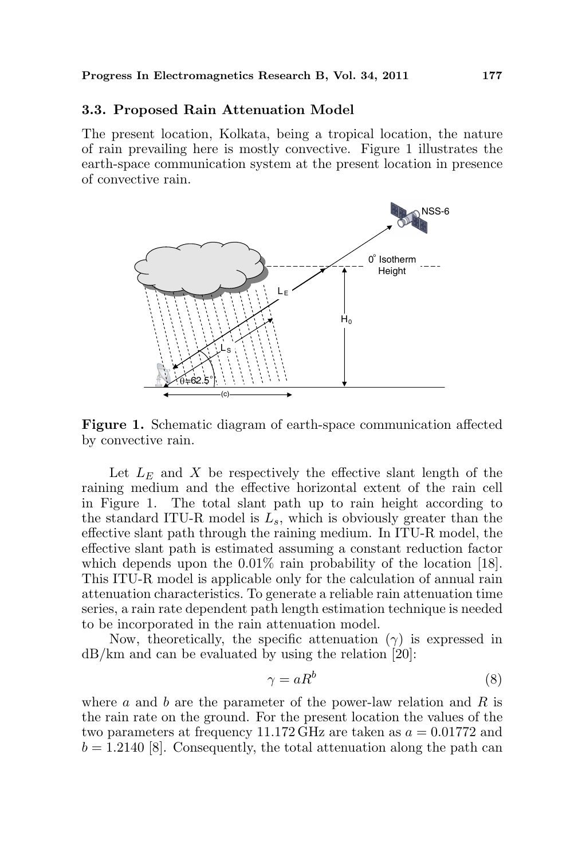#### 3.3. Proposed Rain Attenuation Model

The present location, Kolkata, being a tropical location, the nature of rain prevailing here is mostly convective. Figure 1 illustrates the earth-space communication system at the present location in presence of convective rain.



Figure 1. Schematic diagram of earth-space communication affected by convective rain.

Let  $L<sub>E</sub>$  and X be respectively the effective slant length of the raining medium and the effective horizontal extent of the rain cell in Figure 1. The total slant path up to rain height according to the standard ITU-R model is  $L_s$ , which is obviously greater than the effective slant path through the raining medium. In ITU-R model, the effective slant path is estimated assuming a constant reduction factor which depends upon the  $0.01\%$  rain probability of the location [18]. This ITU-R model is applicable only for the calculation of annual rain attenuation characteristics. To generate a reliable rain attenuation time series, a rain rate dependent path length estimation technique is needed to be incorporated in the rain attenuation model.

Now, theoretically, the specific attenuation  $(\gamma)$  is expressed in dB/km and can be evaluated by using the relation [20]:

$$
\gamma = aR^b \tag{8}
$$

where a and b are the parameter of the power-law relation and R is the rain rate on the ground. For the present location the values of the two parameters at frequency 11.172 GHz are taken as  $a = 0.01772$  and  $b = 1.2140$  [8]. Consequently, the total attenuation along the path can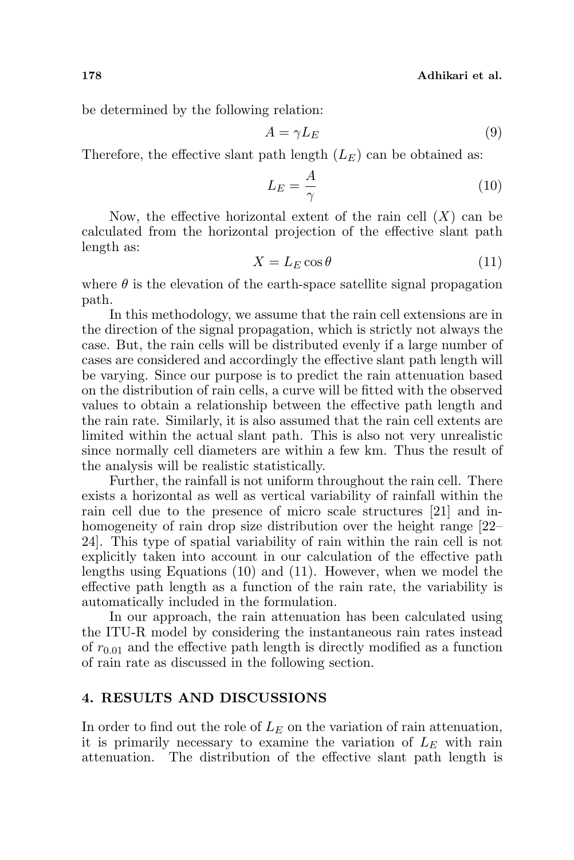be determined by the following relation:

$$
A = \gamma L_E \tag{9}
$$

Therefore, the effective slant path length  $(L_E)$  can be obtained as:

$$
L_E = \frac{A}{\gamma} \tag{10}
$$

Now, the effective horizontal extent of the rain cell  $(X)$  can be calculated from the horizontal projection of the effective slant path length as:

$$
X = L_E \cos \theta \tag{11}
$$

where  $\theta$  is the elevation of the earth-space satellite signal propagation path.

In this methodology, we assume that the rain cell extensions are in the direction of the signal propagation, which is strictly not always the case. But, the rain cells will be distributed evenly if a large number of cases are considered and accordingly the effective slant path length will be varying. Since our purpose is to predict the rain attenuation based on the distribution of rain cells, a curve will be fitted with the observed values to obtain a relationship between the effective path length and the rain rate. Similarly, it is also assumed that the rain cell extents are limited within the actual slant path. This is also not very unrealistic since normally cell diameters are within a few km. Thus the result of the analysis will be realistic statistically.

Further, the rainfall is not uniform throughout the rain cell. There exists a horizontal as well as vertical variability of rainfall within the rain cell due to the presence of micro scale structures [21] and inhomogeneity of rain drop size distribution over the height range [22– 24]. This type of spatial variability of rain within the rain cell is not explicitly taken into account in our calculation of the effective path lengths using Equations (10) and (11). However, when we model the effective path length as a function of the rain rate, the variability is automatically included in the formulation.

In our approach, the rain attenuation has been calculated using the ITU-R model by considering the instantaneous rain rates instead of  $r_{0.01}$  and the effective path length is directly modified as a function of rain rate as discussed in the following section.

### 4. RESULTS AND DISCUSSIONS

In order to find out the role of  $L<sub>E</sub>$  on the variation of rain attenuation, it is primarily necessary to examine the variation of  $L<sub>E</sub>$  with rain attenuation. The distribution of the effective slant path length is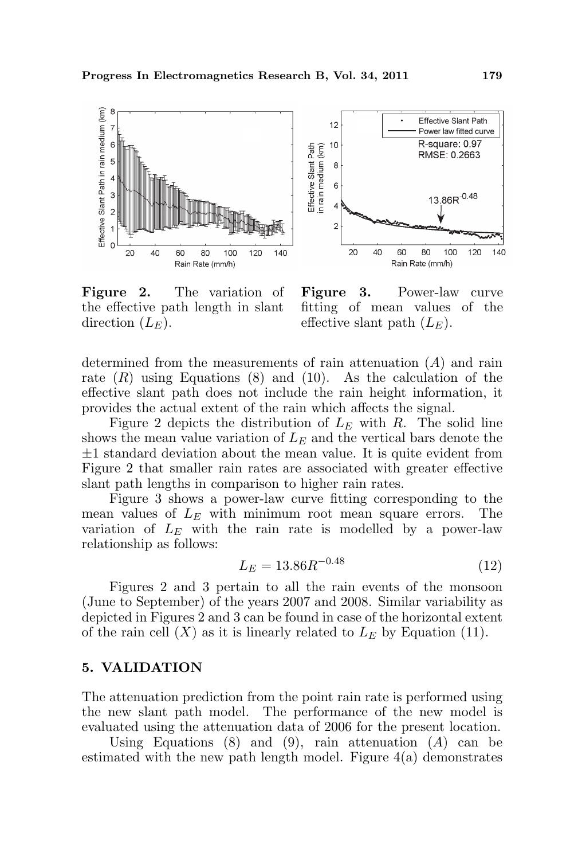

Figure 2. The variation of the effective path length in slant direction  $(L_E)$ .

Figure 3. Power-law curve fitting of mean values of the effective slant path  $(L_F)$ .

determined from the measurements of rain attenuation  $(A)$  and rain rate  $(R)$  using Equations  $(8)$  and  $(10)$ . As the calculation of the effective slant path does not include the rain height information, it provides the actual extent of the rain which affects the signal.

Figure 2 depicts the distribution of  $L<sub>E</sub>$  with R. The solid line shows the mean value variation of  $L<sub>E</sub>$  and the vertical bars denote the  $\pm 1$  standard deviation about the mean value. It is quite evident from Figure 2 that smaller rain rates are associated with greater effective slant path lengths in comparison to higher rain rates.

Figure 3 shows a power-law curve fitting corresponding to the mean values of  $L<sub>E</sub>$  with minimum root mean square errors. The variation of  $L<sub>E</sub>$  with the rain rate is modelled by a power-law relationship as follows:

$$
L_E = 13.86R^{-0.48} \tag{12}
$$

Figures 2 and 3 pertain to all the rain events of the monsoon (June to September) of the years 2007 and 2008. Similar variability as depicted in Figures 2 and 3 can be found in case of the horizontal extent of the rain cell  $(X)$  as it is linearly related to  $L<sub>E</sub>$  by Equation (11).

#### 5. VALIDATION

The attenuation prediction from the point rain rate is performed using the new slant path model. The performance of the new model is evaluated using the attenuation data of 2006 for the present location.

Using Equations  $(8)$  and  $(9)$ , rain attenuation  $(A)$  can be estimated with the new path length model. Figure 4(a) demonstrates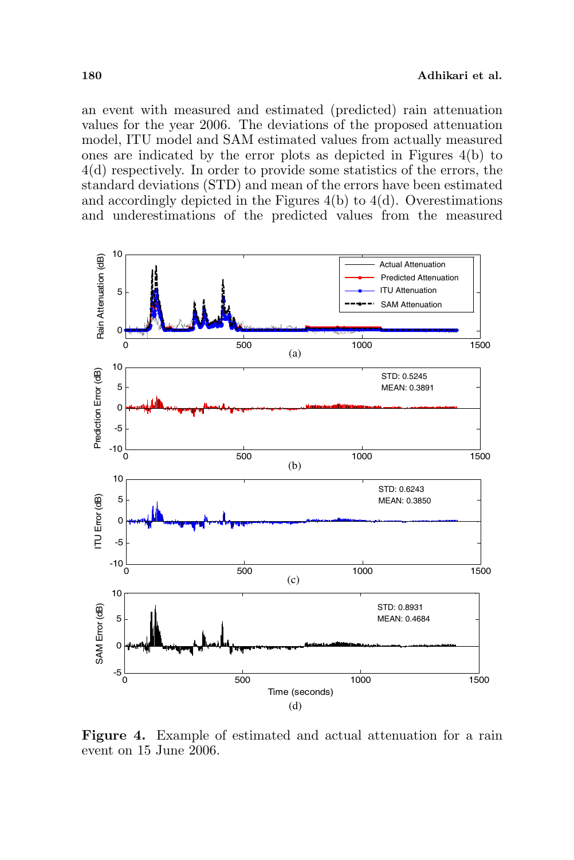an event with measured and estimated (predicted) rain attenuation values for the year 2006. The deviations of the proposed attenuation model, ITU model and SAM estimated values from actually measured ones are indicated by the error plots as depicted in Figures 4(b) to 4(d) respectively. In order to provide some statistics of the errors, the standard deviations (STD) and mean of the errors have been estimated and accordingly depicted in the Figures  $4(b)$  to  $4(d)$ . Overestimations and underestimations of the predicted values from the measured



Figure 4. Example of estimated and actual attenuation for a rain event on 15 June 2006.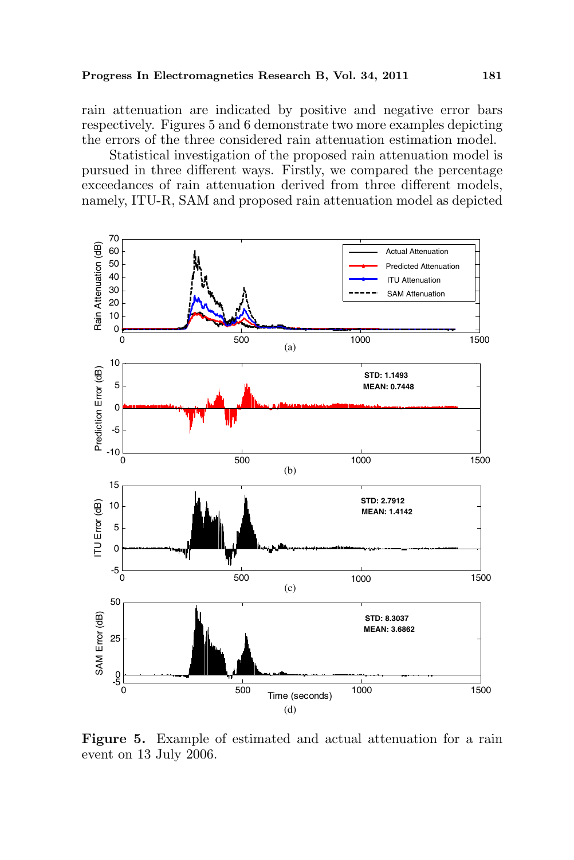rain attenuation are indicated by positive and negative error bars respectively. Figures 5 and 6 demonstrate two more examples depicting the errors of the three considered rain attenuation estimation model.

Statistical investigation of the proposed rain attenuation model is pursued in three different ways. Firstly, we compared the percentage exceedances of rain attenuation derived from three different models, namely, ITU-R, SAM and proposed rain attenuation model as depicted



Figure 5. Example of estimated and actual attenuation for a rain event on 13 July 2006.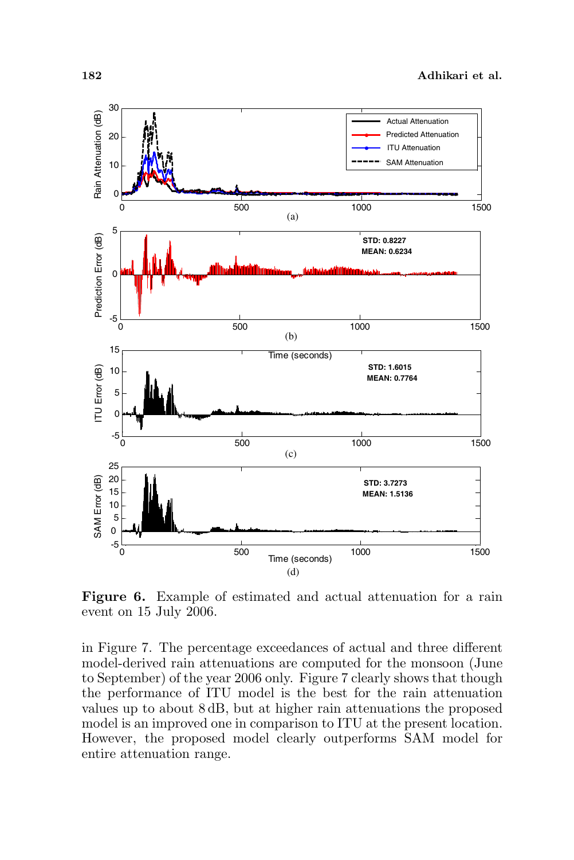

Figure 6. Example of estimated and actual attenuation for a rain event on 15 July 2006.

in Figure 7. The percentage exceedances of actual and three different model-derived rain attenuations are computed for the monsoon (June to September) of the year 2006 only. Figure 7 clearly shows that though the performance of ITU model is the best for the rain attenuation values up to about 8 dB, but at higher rain attenuations the proposed model is an improved one in comparison to ITU at the present location. However, the proposed model clearly outperforms SAM model for entire attenuation range.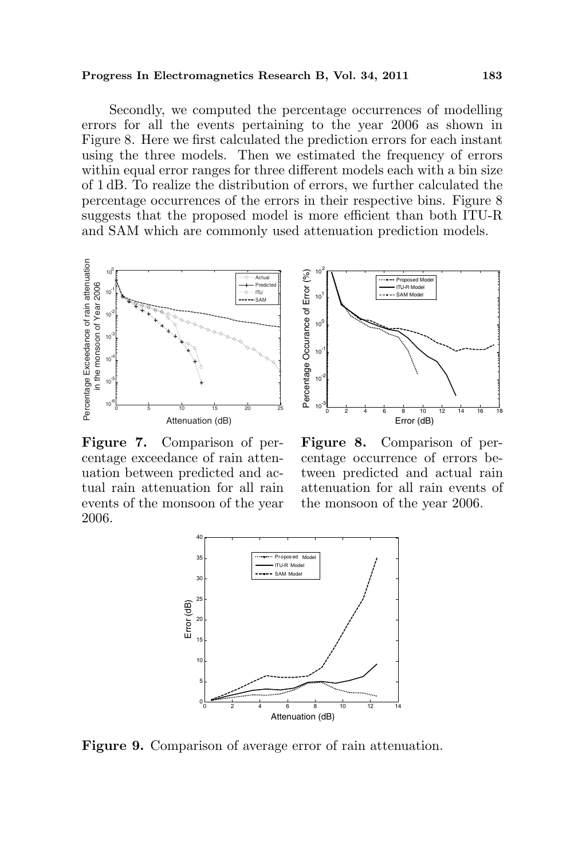#### Progress In Electromagnetics Research B, Vol. 34, 2011 183

Secondly, we computed the percentage occurrences of modelling errors for all the events pertaining to the year 2006 as shown in Figure 8. Here we first calculated the prediction errors for each instant using the three models. Then we estimated the frequency of errors within equal error ranges for three different models each with a bin size of 1 dB. To realize the distribution of errors, we further calculated the percentage occurrences of the errors in their respective bins. Figure 8 suggests that the proposed model is more efficient than both ITU-R and SAM which are commonly used attenuation prediction models.



Figure 7. Comparison of percentage exceedance of rain attenuation between predicted and actual rain attenuation for all rain events of the monsoon of the year 2006.



Figure 8. Comparison of percentage occurrence of errors between predicted and actual rain attenuation for all rain events of the monsoon of the year 2006.



Figure 9. Comparison of average error of rain attenuation.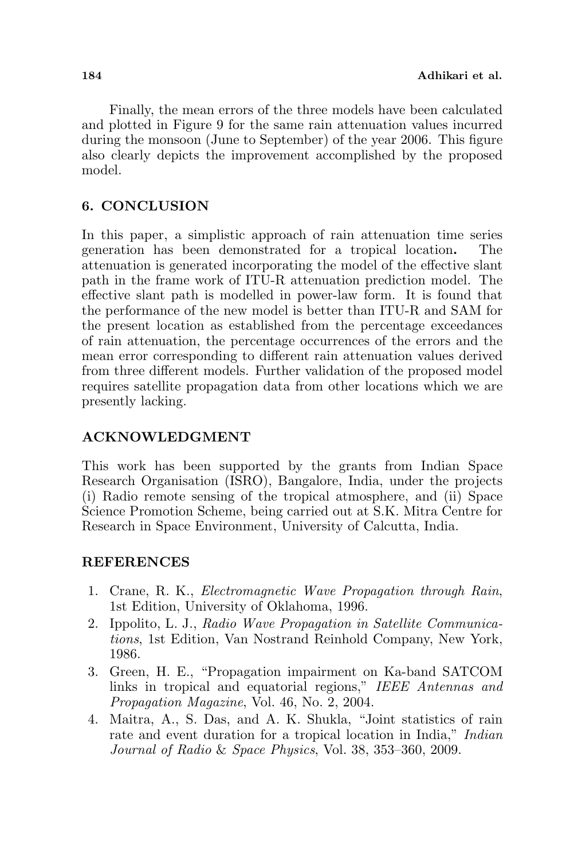Finally, the mean errors of the three models have been calculated and plotted in Figure 9 for the same rain attenuation values incurred during the monsoon (June to September) of the year 2006. This figure also clearly depicts the improvement accomplished by the proposed model.

## 6. CONCLUSION

In this paper, a simplistic approach of rain attenuation time series generation has been demonstrated for a tropical location. The attenuation is generated incorporating the model of the effective slant path in the frame work of ITU-R attenuation prediction model. The effective slant path is modelled in power-law form. It is found that the performance of the new model is better than ITU-R and SAM for the present location as established from the percentage exceedances of rain attenuation, the percentage occurrences of the errors and the mean error corresponding to different rain attenuation values derived from three different models. Further validation of the proposed model requires satellite propagation data from other locations which we are presently lacking.

### ACKNOWLEDGMENT

This work has been supported by the grants from Indian Space Research Organisation (ISRO), Bangalore, India, under the projects (i) Radio remote sensing of the tropical atmosphere, and (ii) Space Science Promotion Scheme, being carried out at S.K. Mitra Centre for Research in Space Environment, University of Calcutta, India.

### **REFERENCES**

- 1. Crane, R. K., Electromagnetic Wave Propagation through Rain, 1st Edition, University of Oklahoma, 1996.
- 2. Ippolito, L. J., Radio Wave Propagation in Satellite Communications, 1st Edition, Van Nostrand Reinhold Company, New York, 1986.
- 3. Green, H. E., "Propagation impairment on Ka-band SATCOM links in tropical and equatorial regions," IEEE Antennas and Propagation Magazine, Vol. 46, No. 2, 2004.
- 4. Maitra, A., S. Das, and A. K. Shukla, "Joint statistics of rain rate and event duration for a tropical location in India," *Indian* Journal of Radio & Space Physics, Vol. 38, 353–360, 2009.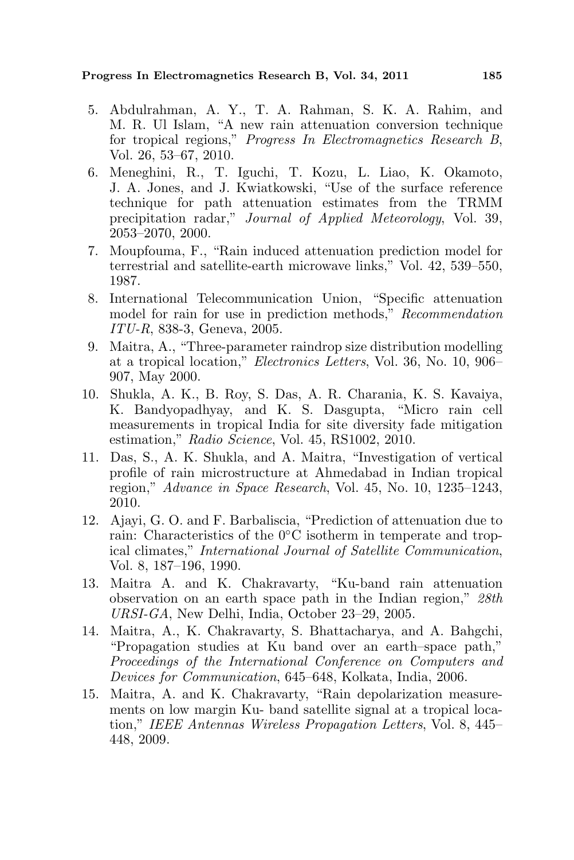- 5. Abdulrahman, A. Y., T. A. Rahman, S. K. A. Rahim, and M. R. Ul Islam, "A new rain attenuation conversion technique for tropical regions," Progress In Electromagnetics Research B, Vol. 26, 53–67, 2010.
- 6. Meneghini, R., T. Iguchi, T. Kozu, L. Liao, K. Okamoto, J. A. Jones, and J. Kwiatkowski, "Use of the surface reference technique for path attenuation estimates from the TRMM precipitation radar," Journal of Applied Meteorology, Vol. 39, 2053–2070, 2000.
- 7. Moupfouma, F., "Rain induced attenuation prediction model for terrestrial and satellite-earth microwave links," Vol. 42, 539–550, 1987.
- 8. International Telecommunication Union, "Specific attenuation model for rain for use in prediction methods," Recommendation ITU-R, 838-3, Geneva, 2005.
- 9. Maitra, A., "Three-parameter raindrop size distribution modelling at a tropical location," Electronics Letters, Vol. 36, No. 10, 906– 907, May 2000.
- 10. Shukla, A. K., B. Roy, S. Das, A. R. Charania, K. S. Kavaiya, K. Bandyopadhyay, and K. S. Dasgupta, "Micro rain cell measurements in tropical India for site diversity fade mitigation estimation," Radio Science, Vol. 45, RS1002, 2010.
- 11. Das, S., A. K. Shukla, and A. Maitra, "Investigation of vertical profile of rain microstructure at Ahmedabad in Indian tropical region," Advance in Space Research, Vol. 45, No. 10, 1235–1243, 2010.
- 12. Ajayi, G. O. and F. Barbaliscia, "Prediction of attenuation due to rain: Characteristics of the 0◦C isotherm in temperate and tropical climates," International Journal of Satellite Communication, Vol. 8, 187–196, 1990.
- 13. Maitra A. and K. Chakravarty, "Ku-band rain attenuation observation on an earth space path in the Indian region," 28th URSI-GA, New Delhi, India, October 23–29, 2005.
- 14. Maitra, A., K. Chakravarty, S. Bhattacharya, and A. Bahgchi, "Propagation studies at Ku band over an earth–space path," Proceedings of the International Conference on Computers and Devices for Communication, 645–648, Kolkata, India, 2006.
- 15. Maitra, A. and K. Chakravarty, "Rain depolarization measurements on low margin Ku- band satellite signal at a tropical location," IEEE Antennas Wireless Propagation Letters, Vol. 8, 445– 448, 2009.